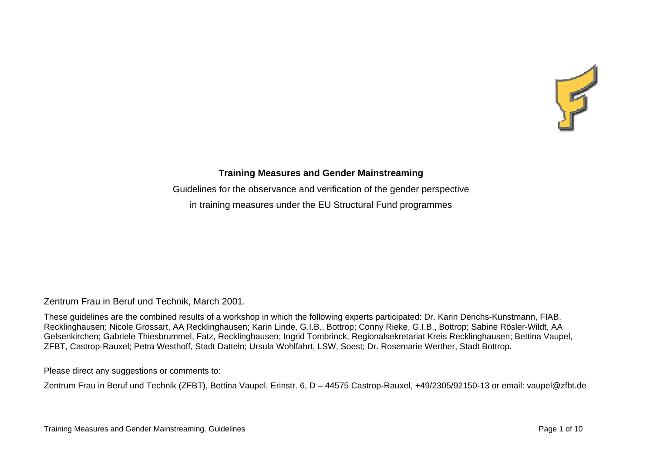

## **Training Measures and Gender Mainstreaming**

Guidelines for the observance and verification of the gender perspective in training measures under the EU Structural Fund programmes

Zentrum Frau in Beruf und Technik, March 2001.

These guidelines are the combined results of a workshop in which the following experts participated: Dr. Karin Derichs-Kunstmann, FIAB, Recklinghausen; Nicole Grossart, AA Recklinghausen; Karin Linde, G.I.B., Bottrop; Conny Rieke, G.I.B., Bottrop; Sabine Rösler-Wildt, AA Gelsenkirchen; Gabriele Thiesbrummel, Fatz, Recklinghausen; Ingrid Tombrinck, Regionalsekretariat Kreis Recklinghausen; Bettina Vaupel, ZFBT, Castrop-Rauxel; Petra Westhoff, Stadt Datteln; Ursula Wohlfahrt, LSW, Soest; Dr. Rosemarie Werther, Stadt Bottrop.

Please direct any suggestions or comments to:

Zentrum Frau in Beruf und Technik (ZFBT), Bettina Vaupel, Erinstr. 6, D – 44575 Castrop-Rauxel, +49/2305/92150-13 or email: vaupel@zfbt.de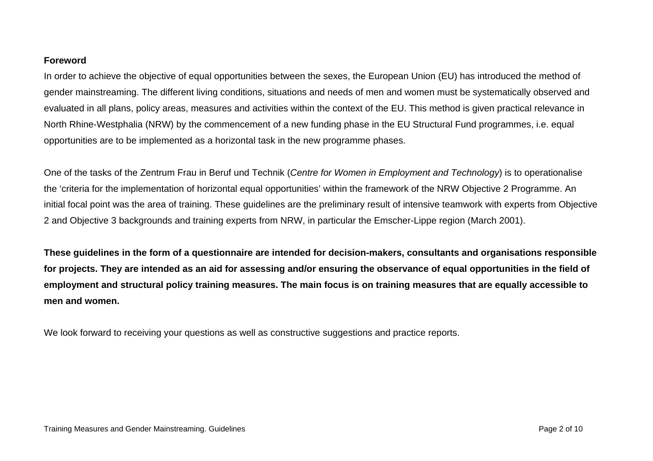## **Foreword**

In order to achieve the objective of equal opportunities between the sexes, the European Union (EU) has introduced the method of gender mainstreaming. The different living conditions, situations and needs of men and women must be systematically observed and evaluated in all plans, policy areas, measures and activities within the context of the EU. This method is given practical relevance in North Rhine-Westphalia (NRW) by the commencement of a new funding phase in the EU Structural Fund programmes, i.e. equal opportunities are to be implemented as a horizontal task in the new programme phases.

One of the tasks of the Zentrum Frau in Beruf und Technik (*Centre for Women in Employment and Technology*) is to operationalise the 'criteria for the implementation of horizontal equal opportunities' within the framework of the NRW Objective 2 Programme. An initial focal point was the area of training. These guidelines are the preliminary result of intensive teamwork with experts from Objective 2 and Objective 3 backgrounds and training experts from NRW, in particular the Emscher-Lippe region (March 2001).

**These guidelines in the form of a questionnaire are intended for decision-makers, consultants and organisations responsible for projects. They are intended as an aid for assessing and/or ensuring the observance of equal opportunities in the field of employment and structural policy training measures. The main focus is on training measures that are equally accessible to men and women.** 

We look forward to receiving your questions as well as constructive suggestions and practice reports.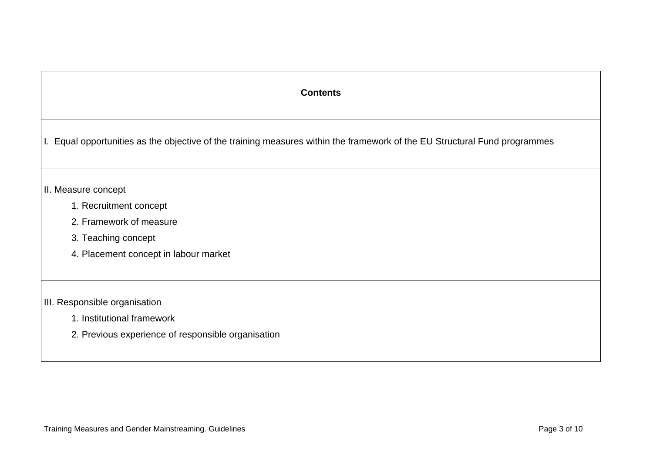## **Contents**

I. Equal opportunities as the objective of the training measures within the framework of the EU Structural Fund programmes

## II. Measure concept

- 1. Recruitment concept
- 2. Framework of measure
- 3. Teaching concept
- 4. Placement concept in labour market
- III. Responsible organisation
	- 1. Institutional framework
	- 2. Previous experience of responsible organisation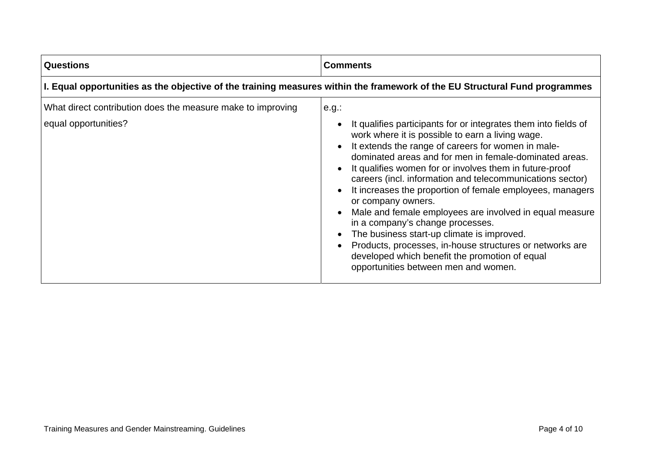| <b>Questions</b>                                                                                                           | <b>Comments</b>                                                                                                                                                                                                                                                                                                                                                                                                                                                                                                                                                                                                                                                                                                                                               |
|----------------------------------------------------------------------------------------------------------------------------|---------------------------------------------------------------------------------------------------------------------------------------------------------------------------------------------------------------------------------------------------------------------------------------------------------------------------------------------------------------------------------------------------------------------------------------------------------------------------------------------------------------------------------------------------------------------------------------------------------------------------------------------------------------------------------------------------------------------------------------------------------------|
| I. Equal opportunities as the objective of the training measures within the framework of the EU Structural Fund programmes |                                                                                                                                                                                                                                                                                                                                                                                                                                                                                                                                                                                                                                                                                                                                                               |
| What direct contribution does the measure make to improving<br>equal opportunities?                                        | $e.g.$ :<br>It qualifies participants for or integrates them into fields of<br>work where it is possible to earn a living wage.<br>It extends the range of careers for women in male-<br>dominated areas and for men in female-dominated areas.<br>It qualifies women for or involves them in future-proof<br>careers (incl. information and telecommunications sector)<br>It increases the proportion of female employees, managers<br>or company owners.<br>Male and female employees are involved in equal measure<br>in a company's change processes.<br>The business start-up climate is improved.<br>Products, processes, in-house structures or networks are<br>developed which benefit the promotion of equal<br>opportunities between men and women. |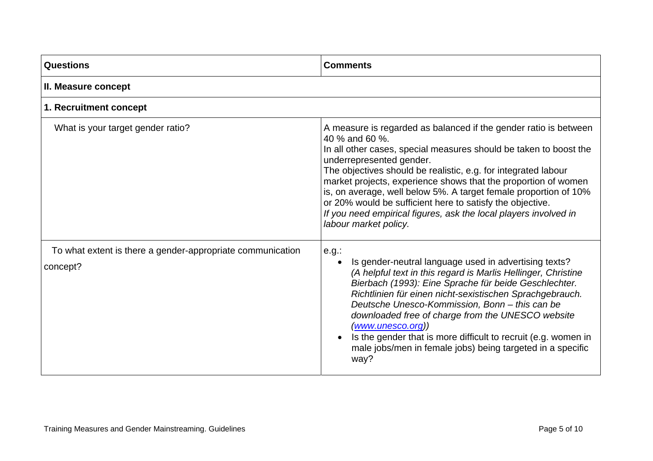| Questions                                                              | <b>Comments</b>                                                                                                                                                                                                                                                                                                                                                                                                                                                                                                                                       |
|------------------------------------------------------------------------|-------------------------------------------------------------------------------------------------------------------------------------------------------------------------------------------------------------------------------------------------------------------------------------------------------------------------------------------------------------------------------------------------------------------------------------------------------------------------------------------------------------------------------------------------------|
| II. Measure concept                                                    |                                                                                                                                                                                                                                                                                                                                                                                                                                                                                                                                                       |
| 1. Recruitment concept                                                 |                                                                                                                                                                                                                                                                                                                                                                                                                                                                                                                                                       |
| What is your target gender ratio?                                      | A measure is regarded as balanced if the gender ratio is between<br>40 % and 60 %.<br>In all other cases, special measures should be taken to boost the<br>underrepresented gender.<br>The objectives should be realistic, e.g. for integrated labour<br>market projects, experience shows that the proportion of women<br>is, on average, well below 5%. A target female proportion of 10%<br>or 20% would be sufficient here to satisfy the objective.<br>If you need empirical figures, ask the local players involved in<br>labour market policy. |
| To what extent is there a gender-appropriate communication<br>concept? | e.g.<br>Is gender-neutral language used in advertising texts?<br>(A helpful text in this regard is Marlis Hellinger, Christine<br>Bierbach (1993): Eine Sprache für beide Geschlechter.<br>Richtlinien für einen nicht-sexistischen Sprachgebrauch.<br>Deutsche Unesco-Kommission, Bonn - this can be<br>downloaded free of charge from the UNESCO website<br>(www.unesco.org))<br>Is the gender that is more difficult to recruit (e.g. women in<br>male jobs/men in female jobs) being targeted in a specific<br>way?                               |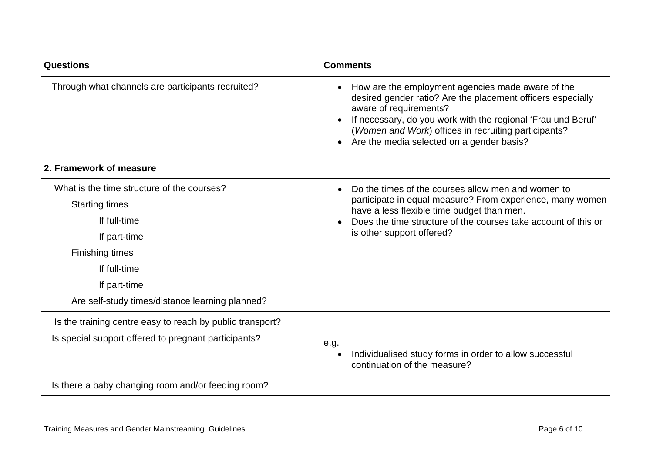| <b>Questions</b>                                                                                                                                                                                                 | <b>Comments</b>                                                                                                                                                                                                                                                                                                 |
|------------------------------------------------------------------------------------------------------------------------------------------------------------------------------------------------------------------|-----------------------------------------------------------------------------------------------------------------------------------------------------------------------------------------------------------------------------------------------------------------------------------------------------------------|
| Through what channels are participants recruited?                                                                                                                                                                | How are the employment agencies made aware of the<br>desired gender ratio? Are the placement officers especially<br>aware of requirements?<br>If necessary, do you work with the regional 'Frau und Beruf'<br>(Women and Work) offices in recruiting participants?<br>Are the media selected on a gender basis? |
| 2. Framework of measure                                                                                                                                                                                          |                                                                                                                                                                                                                                                                                                                 |
| What is the time structure of the courses?<br><b>Starting times</b><br>If full-time<br>If part-time<br><b>Finishing times</b><br>If full-time<br>If part-time<br>Are self-study times/distance learning planned? | Do the times of the courses allow men and women to<br>$\bullet$<br>participate in equal measure? From experience, many women<br>have a less flexible time budget than men.<br>Does the time structure of the courses take account of this or<br>is other support offered?                                       |
| Is the training centre easy to reach by public transport?                                                                                                                                                        |                                                                                                                                                                                                                                                                                                                 |
| Is special support offered to pregnant participants?                                                                                                                                                             | e.g.<br>Individualised study forms in order to allow successful<br>continuation of the measure?                                                                                                                                                                                                                 |
| Is there a baby changing room and/or feeding room?                                                                                                                                                               |                                                                                                                                                                                                                                                                                                                 |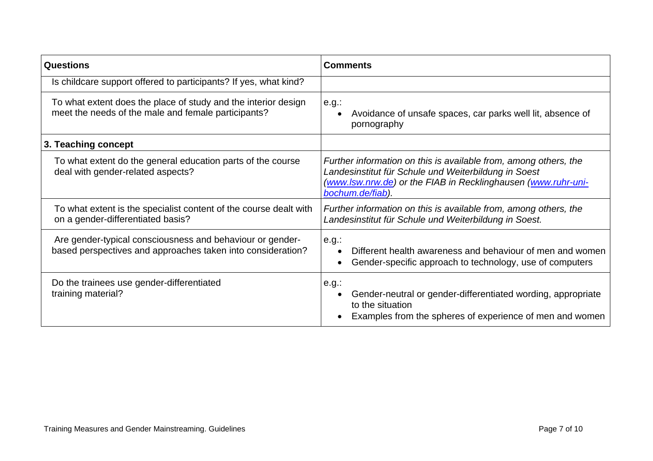| <b>Questions</b>                                                                                                         | <b>Comments</b>                                                                                                                                                                                               |
|--------------------------------------------------------------------------------------------------------------------------|---------------------------------------------------------------------------------------------------------------------------------------------------------------------------------------------------------------|
| Is childcare support offered to participants? If yes, what kind?                                                         |                                                                                                                                                                                                               |
| To what extent does the place of study and the interior design<br>meet the needs of the male and female participants?    | $e.g.$ :<br>Avoidance of unsafe spaces, car parks well lit, absence of<br>pornography                                                                                                                         |
| 3. Teaching concept                                                                                                      |                                                                                                                                                                                                               |
| To what extent do the general education parts of the course<br>deal with gender-related aspects?                         | Further information on this is available from, among others, the<br>Landesinstitut für Schule und Weiterbildung in Soest<br>(www.lsw.nrw.de) or the FIAB in Recklinghausen (www.ruhr-uni-<br>bochum.de/fiab). |
| To what extent is the specialist content of the course dealt with<br>on a gender-differentiated basis?                   | Further information on this is available from, among others, the<br>Landesinstitut für Schule und Weiterbildung in Soest.                                                                                     |
| Are gender-typical consciousness and behaviour or gender-<br>based perspectives and approaches taken into consideration? | $e.g.$ :<br>Different health awareness and behaviour of men and women<br>Gender-specific approach to technology, use of computers<br>$\bullet$                                                                |
| Do the trainees use gender-differentiated<br>training material?                                                          | $e.g.$ :<br>Gender-neutral or gender-differentiated wording, appropriate<br>to the situation<br>Examples from the spheres of experience of men and women                                                      |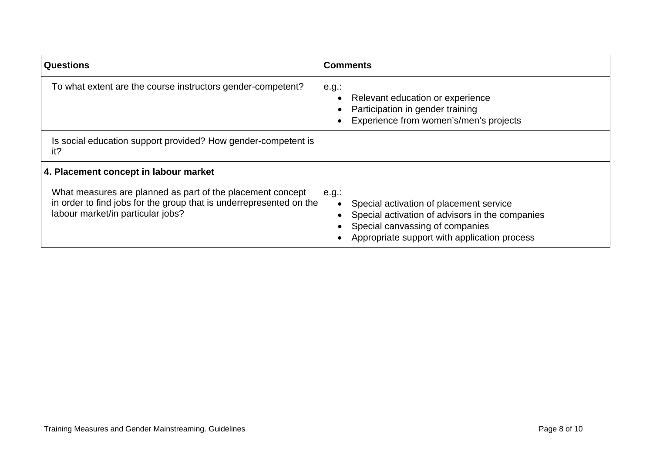| <b>Questions</b>                                                                                                                                                       | <b>Comments</b>                                                                                                                                                                                     |
|------------------------------------------------------------------------------------------------------------------------------------------------------------------------|-----------------------------------------------------------------------------------------------------------------------------------------------------------------------------------------------------|
| To what extent are the course instructors gender-competent?                                                                                                            | $e.g.$ :<br>Relevant education or experience<br>Participation in gender training<br>Experience from women's/men's projects                                                                          |
| Is social education support provided? How gender-competent is<br>it?                                                                                                   |                                                                                                                                                                                                     |
| 4. Placement concept in labour market                                                                                                                                  |                                                                                                                                                                                                     |
| What measures are planned as part of the placement concept<br>in order to find jobs for the group that is underrepresented on the<br>labour market/in particular jobs? | e.g.:<br>Special activation of placement service<br>$\bullet$<br>Special activation of advisors in the companies<br>Special canvassing of companies<br>Appropriate support with application process |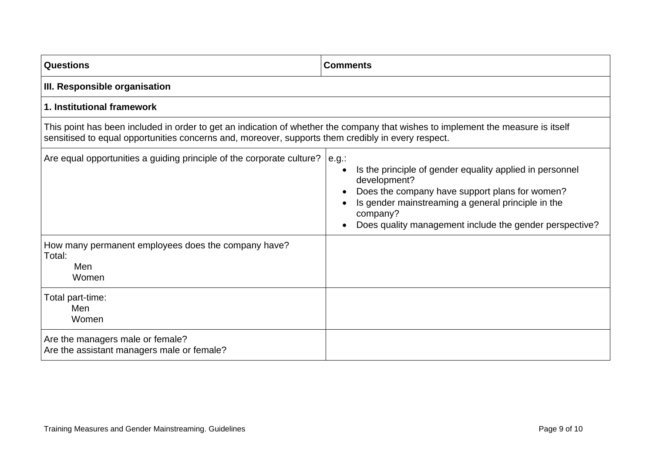| <b>Questions</b>                                                                                                                                                                                                                       | <b>Comments</b>                                                                                                                                                                                                                                         |
|----------------------------------------------------------------------------------------------------------------------------------------------------------------------------------------------------------------------------------------|---------------------------------------------------------------------------------------------------------------------------------------------------------------------------------------------------------------------------------------------------------|
| III. Responsible organisation                                                                                                                                                                                                          |                                                                                                                                                                                                                                                         |
| 1. Institutional framework                                                                                                                                                                                                             |                                                                                                                                                                                                                                                         |
| This point has been included in order to get an indication of whether the company that wishes to implement the measure is itself<br>sensitised to equal opportunities concerns and, moreover, supports them credibly in every respect. |                                                                                                                                                                                                                                                         |
| Are equal opportunities a guiding principle of the corporate culture?   e.g.:                                                                                                                                                          | Is the principle of gender equality applied in personnel<br>development?<br>Does the company have support plans for women?<br>Is gender mainstreaming a general principle in the<br>company?<br>Does quality management include the gender perspective? |
| How many permanent employees does the company have?<br>Total:<br>Men<br>Women                                                                                                                                                          |                                                                                                                                                                                                                                                         |
| Total part-time:<br>Men<br>Women                                                                                                                                                                                                       |                                                                                                                                                                                                                                                         |
| Are the managers male or female?<br>Are the assistant managers male or female?                                                                                                                                                         |                                                                                                                                                                                                                                                         |